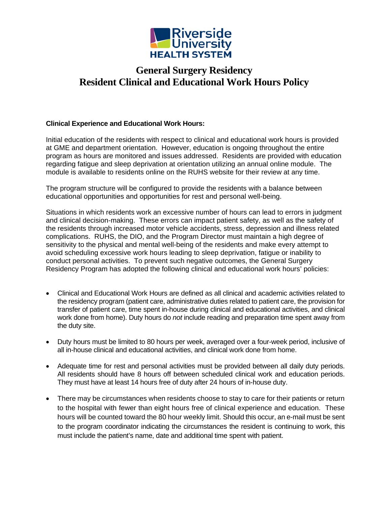

## **General Surgery Residency Resident Clinical and Educational Work Hours Policy**

## **Clinical Experience and Educational Work Hours:**

Initial education of the residents with respect to clinical and educational work hours is provided at GME and department orientation. However, education is ongoing throughout the entire program as hours are monitored and issues addressed. Residents are provided with education regarding fatigue and sleep deprivation at orientation utilizing an annual online module. The module is available to residents online on the RUHS website for their review at any time.

The program structure will be configured to provide the residents with a balance between educational opportunities and opportunities for rest and personal well-being.

Situations in which residents work an excessive number of hours can lead to errors in judgment and clinical decision-making. These errors can impact patient safety, as well as the safety of the residents through increased motor vehicle accidents, stress, depression and illness related complications. RUHS, the DIO, and the Program Director must maintain a high degree of sensitivity to the physical and mental well-being of the residents and make every attempt to avoid scheduling excessive work hours leading to sleep deprivation, fatigue or inability to conduct personal activities. To prevent such negative outcomes, the General Surgery Residency Program has adopted the following clinical and educational work hours' policies:

- Clinical and Educational Work Hours are defined as all clinical and academic activities related to the residency program (patient care, administrative duties related to patient care, the provision for transfer of patient care, time spent in-house during clinical and educational activities, and clinical work done from home). Duty hours do *not* include reading and preparation time spent away from the duty site.
- Duty hours must be limited to 80 hours per week, averaged over a four-week period, inclusive of all in-house clinical and educational activities, and clinical work done from home.
- Adequate time for rest and personal activities must be provided between all daily duty periods. All residents should have 8 hours off between scheduled clinical work and education periods. They must have at least 14 hours free of duty after 24 hours of in-house duty.
- There may be circumstances when residents choose to stay to care for their patients or return to the hospital with fewer than eight hours free of clinical experience and education. These hours will be counted toward the 80 hour weekly limit. Should this occur, an e-mail must be sent to the program coordinator indicating the circumstances the resident is continuing to work, this must include the patient's name, date and additional time spent with patient.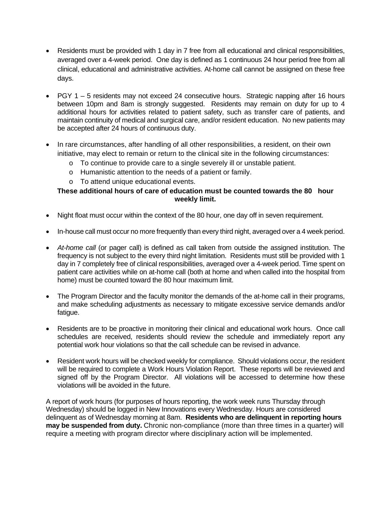- Residents must be provided with 1 day in 7 free from all educational and clinical responsibilities, averaged over a 4-week period. One day is defined as 1 continuous 24 hour period free from all clinical, educational and administrative activities. At-home call cannot be assigned on these free days.
- PGY 1 5 residents may not exceed 24 consecutive hours. Strategic napping after 16 hours between 10pm and 8am is strongly suggested. Residents may remain on duty for up to 4 additional hours for activities related to patient safety, such as transfer care of patients, and maintain continuity of medical and surgical care, and/or resident education. No new patients may be accepted after 24 hours of continuous duty.
- In rare circumstances, after handling of all other responsibilities, a resident, on their own initiative, may elect to remain or return to the clinical site in the following circumstances:
	- o To continue to provide care to a single severely ill or unstable patient.
	- o Humanistic attention to the needs of a patient or family.
	- o To attend unique educational events.

## **These additional hours of care of education must be counted towards the 80 hour weekly limit.**

- Night float must occur within the context of the 80 hour, one day off in seven requirement.
- In-house call must occur no more frequently than every third night, averaged over a 4 week period.
- *At-home call* (or pager call) is defined as call taken from outside the assigned institution. The frequency is not subject to the every third night limitation. Residents must still be provided with 1 day in 7 completely free of clinical responsibilities, averaged over a 4-week period. Time spent on patient care activities while on at-home call (both at home and when called into the hospital from home) must be counted toward the 80 hour maximum limit.
- The Program Director and the faculty monitor the demands of the at-home call in their programs, and make scheduling adjustments as necessary to mitigate excessive service demands and/or fatigue.
- Residents are to be proactive in monitoring their clinical and educational work hours. Once call schedules are received, residents should review the schedule and immediately report any potential work hour violations so that the call schedule can be revised in advance.
- Resident work hours will be checked weekly for compliance. Should violations occur, the resident will be required to complete a Work Hours Violation Report. These reports will be reviewed and signed off by the Program Director. All violations will be accessed to determine how these violations will be avoided in the future.

A report of work hours (for purposes of hours reporting, the work week runs Thursday through Wednesday) should be logged in New Innovations every Wednesday. Hours are considered delinquent as of Wednesday morning at 8am. **Residents who are delinquent in reporting hours may be suspended from duty.** Chronic non-compliance (more than three times in a quarter) will require a meeting with program director where disciplinary action will be implemented.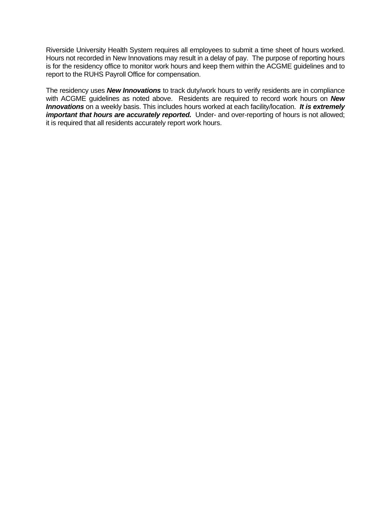Riverside University Health System requires all employees to submit a time sheet of hours worked. Hours not recorded in New Innovations may result in a delay of pay. The purpose of reporting hours is for the residency office to monitor work hours and keep them within the ACGME guidelines and to report to the RUHS Payroll Office for compensation.

The residency uses *New Innovations* to track duty/work hours to verify residents are in compliance with ACGME guidelines as noted above. Residents are required to record work hours on *New Innovations* on a weekly basis. This includes hours worked at each facility/location. *It is extremely important that hours are accurately reported.* Under- and over-reporting of hours is not allowed; it is required that all residents accurately report work hours.